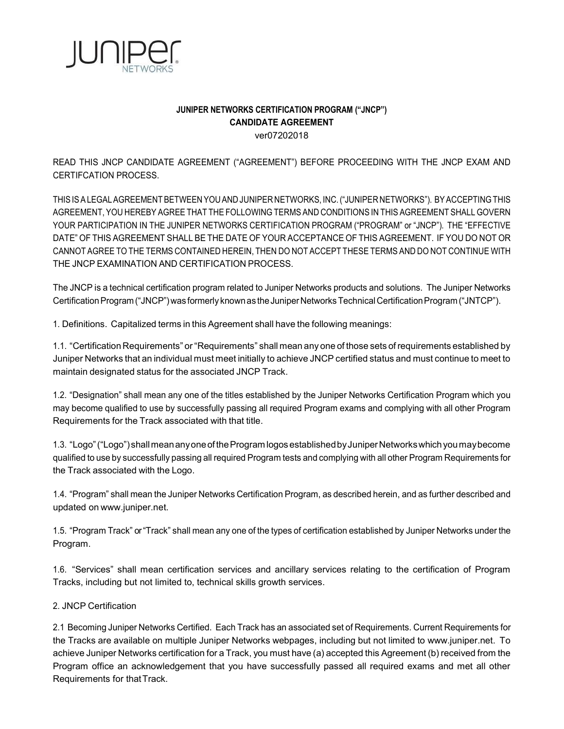

# JUNIPER NETWORKS CERTIFICATION PROGRAM ("JNCP") CANDIDATE AGREEMENT ver07202018

READ THIS JNCP CANDIDATE AGREEMENT ("AGREEMENT") BEFORE PROCEEDING WITH THE JNCP EXAM AND CERTIFCATION PROCESS.

THIS IS A LEGAL AGREEMENT BETWEEN YOU AND JUNIPER NETWORKS, INC. ("JUNIPER NETWORKS"). BY ACCEPTING THIS AGREEMENT, YOU HEREBY AGREE THAT THE FOLLOWING TERMS AND CONDITIONS IN THIS AGREEMENT SHALL GOVERN YOUR PARTICIPATION IN THE JUNIPER NETWORKS CERTIFICATION PROGRAM ("PROGRAM" or "JNCP"). THE "EFFECTIVE DATE" OF THIS AGREEMENT SHALL BE THE DATE OF YOUR ACCEPTANCE OF THIS AGREEMENT. IF YOU DO NOT OR CANNOT AGREE TO THE TERMS CONTAINED HEREIN, THEN DO NOT ACCEPT THESE TERMS AND DO NOT CONTINUE WITH THE JNCP EXAMINATION AND CERTIFICATION PROCESS.

The JNCP is a technical certification program related to Juniper Networks products and solutions. The Juniper Networks Certification Program ("JNCP") was formerly known as the Juniper Networks Technical Certification Program ("JNTCP").

1. Definitions. Capitalized terms in this Agreement shall have the following meanings:

1.1. "Certification Requirements" or "Requirements" shall mean any one of those sets of requirements established by Juniper Networks that an individual must meet initially to achieve JNCP certified status and must continue to meet to maintain designated status for the associated JNCP Track.

1.2. "Designation" shall mean any one of the titles established by the Juniper Networks Certification Program which you may become qualified to use by successfully passing all required Program exams and complying with all other Program Requirements for the Track associated with that title.

1.3. "Logo" ("Logo") shall mean any one of the Program logos established by Juniper Networks which you may become qualified to use by successfully passing all required Program tests and complying with all other Program Requirements for the Track associated with the Logo.

1.4. "Program" shall mean the Juniper Networks Certification Program, as described herein, and as further described and updated on www.juniper.net.

1.5. "Program Track" or "Track" shall mean any one of the types of certification established by Juniper Networks under the Program.

1.6. "Services" shall mean certification services and ancillary services relating to the certification of Program Tracks, including but not limited to, technical skills growth services.

2. JNCP Certification

2.1 Becoming Juniper Networks Certified. Each Track has an associated set of Requirements. Current Requirements for the Tracks are available on multiple Juniper Networks webpages, including but not limited to www.juniper.net. To achieve Juniper Networks certification for a Track, you must have (a) accepted this Agreement (b) received from the Program office an acknowledgement that you have successfully passed all required exams and met all other Requirements for that Track.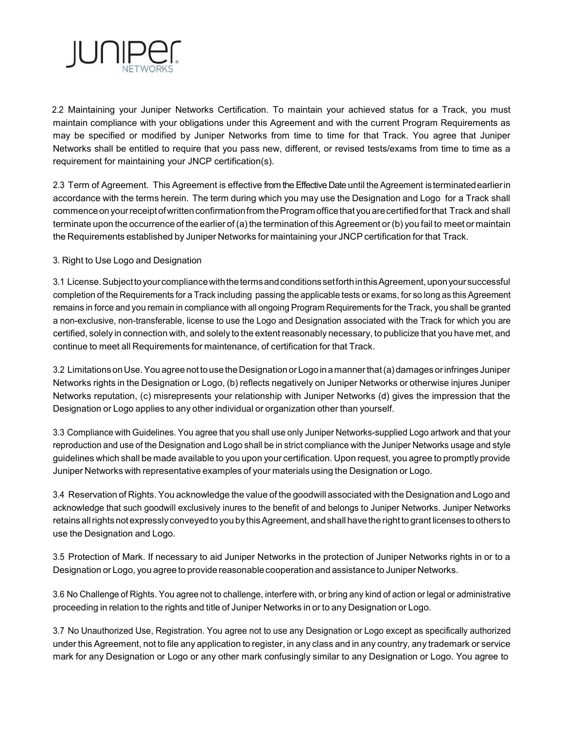

2.2 Maintaining your Juniper Networks Certification. To maintain your achieved status for a Track, you must maintain compliance with your obligations under this Agreement and with the current Program Requirements as may be specified or modified by Juniper Networks from time to time for that Track. You agree that Juniper Networks shall be entitled to require that you pass new, different, or revised tests/exams from time to time as a requirement for maintaining your JNCP certification(s).

2.3 Term of Agreement. This Agreement is effective from the Effective Date until the Agreement is terminated earlier in accordance with the terms herein. The term during which you may use the Designation and Logo for a Track shall commence on your receipt of written confirmation from the Program office that you are certified for that Track and shall terminate upon the occurrence of the earlier of (a) the termination of this Agreement or (b) you fail to meet or maintain the Requirements established by Juniper Networks for maintaining your JNCP certification for that Track.

# 3. Right to Use Logo and Designation

3.1 License. Subject to your compliance with the terms and conditions set forth in this Agreement, upon your successful completion of the Requirements for a Track including passing the applicable tests or exams, for so long as this Agreement remains in force and you remain in compliance with all ongoing Program Requirements for the Track, you shall be granted a non-exclusive, non-transferable, license to use the Logo and Designation associated with the Track for which you are certified, solely in connection with, and solely to the extent reasonably necessary, to publicize that you have met, and continue to meet all Requirements for maintenance, of certification for that Track.

3.2 Limitations on Use. You agree not to use the Designation or Logo in a manner that (a) damages or infringes Juniper Networks rights in the Designation or Logo, (b) reflects negatively on Juniper Networks or otherwise injures Juniper Networks reputation, (c) misrepresents your relationship with Juniper Networks (d) gives the impression that the Designation or Logo applies to any other individual or organization other than yourself.

3.3 Compliance with Guidelines. You agree that you shall use only Juniper Networks-supplied Logo artwork and that your reproduction and use of the Designation and Logo shall be in strict compliance with the Juniper Networks usage and style guidelines which shall be made available to you upon your certification. Upon request, you agree to promptly provide Juniper Networks with representative examples of your materials using the Designation or Logo.

3.4 Reservation of Rights. You acknowledge the value of the goodwill associated with the Designation and Logo and acknowledge that such goodwill exclusively inures to the benefit of and belongs to Juniper Networks. Juniper Networks retains all rights not expressly conveyed to you by this Agreement, and shall have the right to grant licenses to others to use the Designation and Logo.

3.5 Protection of Mark. If necessary to aid Juniper Networks in the protection of Juniper Networks rights in or to a Designation or Logo, you agree to provide reasonable cooperation and assistance to Juniper Networks.

3.6 No Challenge of Rights. You agree not to challenge, interfere with, or bring any kind of action or legal or administrative proceeding in relation to the rights and title of Juniper Networks in or to any Designation or Logo.

3.7 No Unauthorized Use, Registration. You agree not to use any Designation or Logo except as specifically authorized under this Agreement, not to file any application to register, in any class and in any country, any trademark or service mark for any Designation or Logo or any other mark confusingly similar to any Designation or Logo. You agree to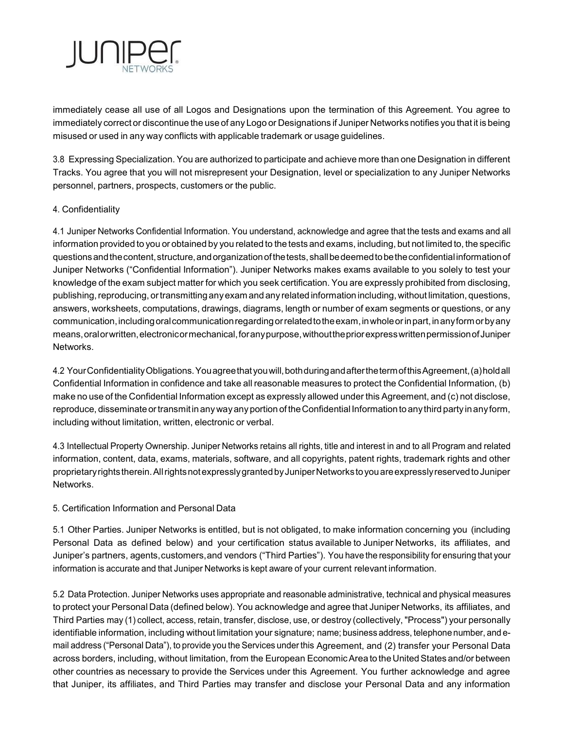

immediately cease all use of all Logos and Designations upon the termination of this Agreement. You agree to immediately correct or discontinue the use of any Logo or Designations if Juniper Networks notifies you that it is being misused or used in any way conflicts with applicable trademark or usage guidelines.

3.8 Expressing Specialization. You are authorized to participate and achieve more than one Designation in different Tracks. You agree that you will not misrepresent your Designation, level or specialization to any Juniper Networks personnel, partners, prospects, customers or the public.

## 4. Confidentiality

4.1 Juniper Networks Confidential Information. You understand, acknowledge and agree that the tests and exams and all information provided to you or obtained by you related to the tests and exams, including, but not limited to, the specific questions and the content, structure, and organization of the tests, shall be deemed to be the confidential information of Juniper Networks ("Confidential Information"). Juniper Networks makes exams available to you solely to test your knowledge of the exam subject matter for which you seek certification. You are expressly prohibited from disclosing, publishing, reproducing, or transmitting any exam and any related information including, without limitation, questions, answers, worksheets, computations, drawings, diagrams, length or number of exam segments or questions, or any communication, including oral communication regarding or related to the exam, in whole or in part, in any form or by any means, oral or written, electronic or mechanical, for any purpose, without the prior express written permission of Juniper **Networks** 

4.2 Your Confidentiality Obligations. You agree that you will, both during and after the term of this Agreement, (a) hold all Confidential Information in confidence and take all reasonable measures to protect the Confidential Information, (b) make no use of the Confidential Information except as expressly allowed under this Agreement, and (c) not disclose, reproduce, disseminate or transmit in any way any portion of the Confidential Information to any third party in any form, including without limitation, written, electronic or verbal.

4.3 Intellectual Property Ownership. Juniper Networks retains all rights, title and interest in and to all Program and related information, content, data, exams, materials, software, and all copyrights, patent rights, trademark rights and other proprietary rights therein. All rights not expressly granted by Juniper Networks to you are expressly reserved to Juniper **Networks** 

## 5. Certification Information and Personal Data

5.1 Other Parties. Juniper Networks is entitled, but is not obligated, to make information concerning you (including Personal Data as defined below) and your certification status available to Juniper Networks, its affiliates, and Juniper's partners, agents, customers, and vendors ("Third Parties"). You have the responsibility for ensuring that your information is accurate and that Juniper Networks is kept aware of your current relevant information.

5.2 Data Protection. Juniper Networks uses appropriate and reasonable administrative, technical and physical measures to protect your Personal Data (defined below). You acknowledge and agree that Juniper Networks, its affiliates, and Third Parties may (1) collect, access, retain, transfer, disclose, use, or destroy (collectively, "Process") your personally identifiable information, including without limitation your signature; name; business address, telephone number, and email address ("Personal Data"), to provide you the Services under this Agreement, and (2) transfer your Personal Data across borders, including, without limitation, from the European Economic Area to the United States and/or between other countries as necessary to provide the Services under this Agreement. You further acknowledge and agree that Juniper, its affiliates, and Third Parties may transfer and disclose your Personal Data and any information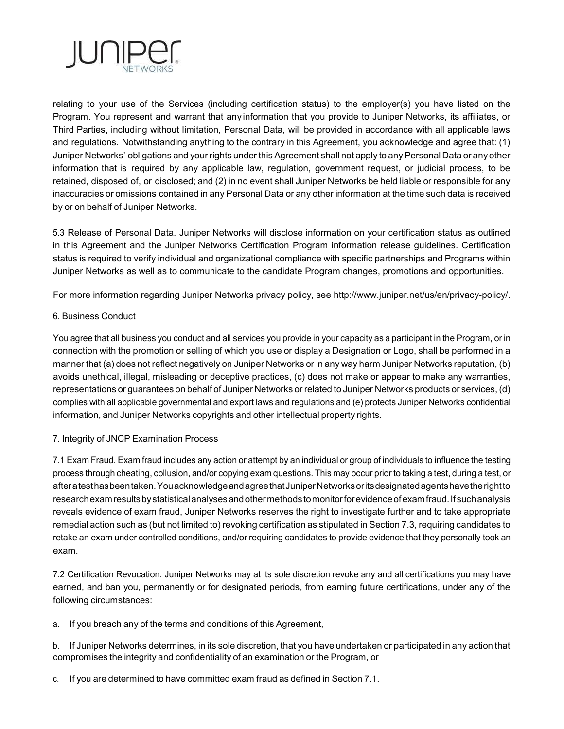

relating to your use of the Services (including certification status) to the employer(s) you have listed on the Program. You represent and warrant that any information that you provide to Juniper Networks, its affiliates, or Third Parties, including without limitation, Personal Data, will be provided in accordance with all applicable laws and regulations. Notwithstanding anything to the contrary in this Agreement, you acknowledge and agree that: (1) Juniper Networks' obligations and your rights under this Agreement shall not apply to any Personal Data or any other information that is required by any applicable law, regulation, government request, or judicial process, to be retained, disposed of, or disclosed; and (2) in no event shall Juniper Networks be held liable or responsible for any inaccuracies or omissions contained in any Personal Data or any other information at the time such data is received by or on behalf of Juniper Networks.

5.3 Release of Personal Data. Juniper Networks will disclose information on your certification status as outlined in this Agreement and the Juniper Networks Certification Program information release guidelines. Certification status is required to verify individual and organizational compliance with specific partnerships and Programs within Juniper Networks as well as to communicate to the candidate Program changes, promotions and opportunities.

For more information regarding Juniper Networks privacy policy, see http://www.juniper.net/us/en/privacy-policy/.

## 6. Business Conduct

You agree that all business you conduct and all services you provide in your capacity as a participant in the Program, or in connection with the promotion or selling of which you use or display a Designation or Logo, shall be performed in a manner that (a) does not reflect negatively on Juniper Networks or in any way harm Juniper Networks reputation, (b) avoids unethical, illegal, misleading or deceptive practices, (c) does not make or appear to make any warranties, representations or guarantees on behalf of Juniper Networks or related to Juniper Networks products or services, (d) complies with all applicable governmental and export laws and regulations and (e) protects Juniper Networks confidential information, and Juniper Networks copyrights and other intellectual property rights.

## 7. Integrity of JNCP Examination Process

7.1 Exam Fraud. Exam fraud includes any action or attempt by an individual or group of individuals to influence the testing process through cheating, collusion, and/or copying exam questions. This may occur prior to taking a test, during a test, or after a test has been taken. You acknowledge and agree that Juniper Networks or its designated agents have the right to research exam results by statistical analyses and other methods to monitor for evidence of exam fraud. If such analysis reveals evidence of exam fraud, Juniper Networks reserves the right to investigate further and to take appropriate remedial action such as (but not limited to) revoking certification as stipulated in Section 7.3, requiring candidates to retake an exam under controlled conditions, and/or requiring candidates to provide evidence that they personally took an exam.

7.2 Certification Revocation. Juniper Networks may at its sole discretion revoke any and all certifications you may have earned, and ban you, permanently or for designated periods, from earning future certifications, under any of the following circumstances:

a. If you breach any of the terms and conditions of this Agreement,

b. If Juniper Networks determines, in its sole discretion, that you have undertaken or participated in any action that compromises the integrity and confidentiality of an examination or the Program, or

c. If you are determined to have committed exam fraud as defined in Section 7.1.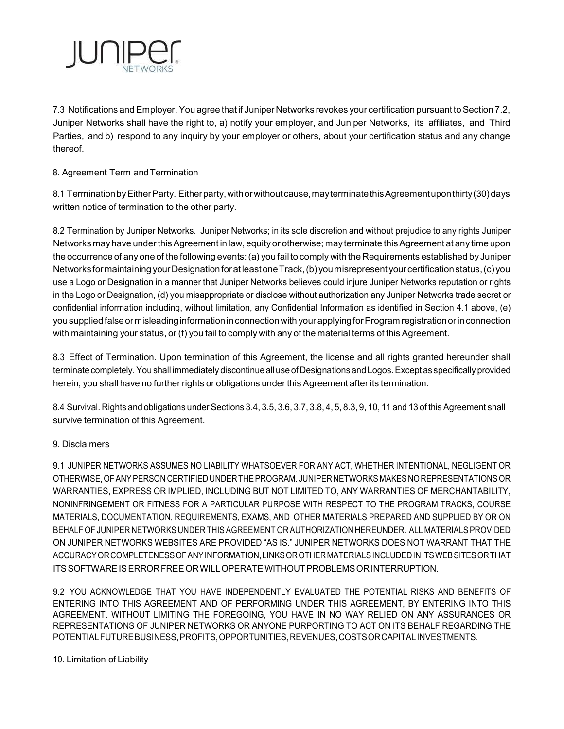

7.3 Notifications and Employer. You agree that if Juniper Networks revokes your certification pursuant to Section 7.2, Juniper Networks shall have the right to, a) notify your employer, and Juniper Networks, its affiliates, and Third Parties, and b) respond to any inquiry by your employer or others, about your certification status and any change thereof.

# 8. Agreement Term and Termination

8.1 Termination by Either Party. Either party, with or without cause, may terminate this Agreement upon thirty (30) days written notice of termination to the other party.

8.2 Termination by Juniper Networks. Juniper Networks; in its sole discretion and without prejudice to any rights Juniper Networks may have under this Agreement in law, equity or otherwise; may terminate this Agreement at any time upon the occurrence of any one of the following events: (a) you fail to comply with the Requirements established by Juniper Networks for maintaining your Designation for at least one Track, (b) you misrepresent your certification status, (c) you use a Logo or Designation in a manner that Juniper Networks believes could injure Juniper Networks reputation or rights in the Logo or Designation, (d) you misappropriate or disclose without authorization any Juniper Networks trade secret or confidential information including, without limitation, any Confidential Information as identified in Section 4.1 above, (e) you supplied false or misleading information in connection with your applying for Program registration or in connection with maintaining your status, or (f) you fail to comply with any of the material terms of this Agreement.

8.3 Effect of Termination. Upon termination of this Agreement, the license and all rights granted hereunder shall terminate completely. You shall immediately discontinue all use of Designations and Logos. Except as specifically provided herein, you shall have no further rights or obligations under this Agreement after its termination.

8.4 Survival. Rights and obligations under Sections 3.4, 3.5, 3.6, 3.7, 3.8, 4, 5, 8.3, 9, 10, 11 and 13 of this Agreement shall survive termination of this Agreement.

## 9. Disclaimers

9.1 JUNIPER NETWORKS ASSUMES NO LIABILITY WHATSOEVER FOR ANY ACT, WHETHER INTENTIONAL, NEGLIGENT OR OTHERWISE, OF ANY PERSON CERTIFIED UNDER THE PROGRAM. JUNIPER NETWORKS MAKES NO REPRESENTATIONS OR WARRANTIES, EXPRESS OR IMPLIED, INCLUDING BUT NOT LIMITED TO, ANY WARRANTIES OF MERCHANTABILITY, NONINFRINGEMENT OR FITNESS FOR A PARTICULAR PURPOSE WITH RESPECT TO THE PROGRAM TRACKS, COURSE MATERIALS, DOCUMENTATION, REQUIREMENTS, EXAMS, AND OTHER MATERIALS PREPARED AND SUPPLIED BY OR ON BEHALF OF JUNIPER NETWORKS UNDER THIS AGREEMENT OR AUTHORIZATION HEREUNDER. ALL MATERIALS PROVIDED ON JUNIPER NETWORKS WEBSITES ARE PROVIDED "AS IS." JUNIPER NETWORKS DOES NOT WARRANT THAT THE ACCURACY OR COMPLETENESS OF ANY INFORMATION, LINKS OR OTHER MATERIALS INCLUDED IN ITS WEB SITES OR THAT ITS SOFTWARE IS ERROR FREE OR WILL OPERATE WITHOUT PROBLEMS OR INTERRUPTION.

9.2 YOU ACKNOWLEDGE THAT YOU HAVE INDEPENDENTLY EVALUATED THE POTENTIAL RISKS AND BENEFITS OF ENTERING INTO THIS AGREEMENT AND OF PERFORMING UNDER THIS AGREEMENT, BY ENTERING INTO THIS AGREEMENT. WITHOUT LIMITING THE FOREGOING, YOU HAVE IN NO WAY RELIED ON ANY ASSURANCES OR REPRESENTATIONS OF JUNIPER NETWORKS OR ANYONE PURPORTING TO ACT ON ITS BEHALF REGARDING THE POTENTIAL FUTURE BUSINESS, PROFITS, OPPORTUNITIES, REVENUES, COSTS OR CAPITAL INVESTMENTS.

#### 10. Limitation of Liability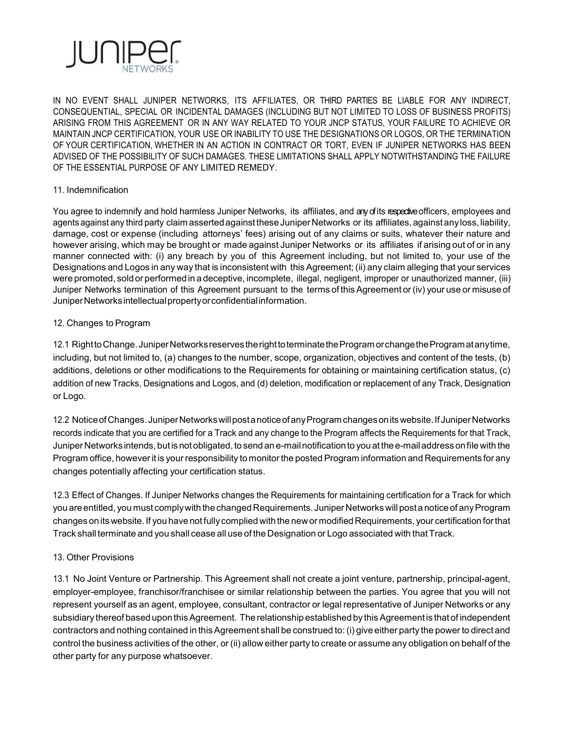

IN NO EVENT SHALL JUNIPER NETWORKS, ITS AFFILIATES, OR THIRD PARTIES BE LIABLE FOR ANY INDIRECT, CONSEQUENTIAL, SPECIAL OR INCIDENTAL DAMAGES (INCLUDING BUT NOT LIMITED TO LOSS OF BUSINESS PROFITS) ARISING FROM THIS AGREEMENT OR IN ANY WAY RELATED TO YOUR JNCP STATUS, YOUR FAILURE TO ACHIEVE OR MAINTAIN JNCP CERTIFICATION, YOUR USE OR INABILITY TO USE THE DESIGNATIONS OR LOGOS, OR THE TERMINATION OF YOUR CERTIFICATION, WHETHER IN AN ACTION IN CONTRACT OR TORT, EVEN IF JUNIPER NETWORKS HAS BEEN ADVISED OF THE POSSIBILITY OF SUCH DAMAGES. THESE LIMITATIONS SHALL APPLY NOTWITHSTANDING THE FAILURE OF THE ESSENTIAL PURPOSE OF ANY LIMITED REMEDY.

#### 11. Indemnification

You agree to indemnify and hold harmless Juniper Networks, its affiliates, and any of its respective officers, employees and agents against any third party claim asserted against these Juniper Networks or its affiliates, against any loss, liability, damage, cost or expense (including attorneys' fees) arising out of any claims or suits, whatever their nature and however arising, which may be brought or made against Juniper Networks or its affiliates if arising out of or in any manner connected with: (i) any breach by you of this Agreement including, but not limited to, your use of the Designations and Logos in any way that is inconsistent with this Agreement; (ii) any claim alleging that your services were promoted, sold or performed in a deceptive, incomplete, illegal, negligent, improper or unauthorized manner, (iii) Juniper Networks termination of this Agreement pursuant to the terms of this Agreement or (iv) your use or misuse of Juniper Networks intellectual property or confidential information.

#### 12. Changes to Program

12.1 Right to Change. Juniper Networks reserves the right to terminate the Program or change the Program at any time, including, but not limited to, (a) changes to the number, scope, organization, objectives and content of the tests, (b) additions, deletions or other modifications to the Requirements for obtaining or maintaining certification status, (c) addition of new Tracks, Designations and Logos, and (d) deletion, modification or replacement of any Track, Designation or Logo.

12.2 Notice of Changes. Juniper Networks will post a notice of any Program changes on its website. If Juniper Networks records indicate that you are certified for a Track and any change to the Program affects the Requirements for that Track, Juniper Networks intends, but is not obligated, to send an e-mail notification to you at the e-mail address on file with the Program office, however it is your responsibility to monitor the posted Program information and Requirements for any changes potentially affecting your certification status.

12.3 Effect of Changes. If Juniper Networks changes the Requirements for maintaining certification for a Track for which you are entitled, you must comply with the changed Requirements. Juniper Networks will post a notice of any Program changes on its website. If you have not fully complied with the new or modified Requirements, your certification for that Track shall terminate and you shall cease all use of the Designation or Logo associated with that Track.

## 13. Other Provisions

13.1 No Joint Venture or Partnership. This Agreement shall not create a joint venture, partnership, principal-agent, employer-employee, franchisor/franchisee or similar relationship between the parties. You agree that you will not represent yourself as an agent, employee, consultant, contractor or legal representative of Juniper Networks or any subsidiary thereof based upon this Agreement. The relationship established by this Agreement is that of independent contractors and nothing contained in this Agreement shall be construed to: (i) give either party the power to direct and control the business activities of the other, or (ii) allow either party to create or assume any obligation on behalf of the other party for any purpose whatsoever.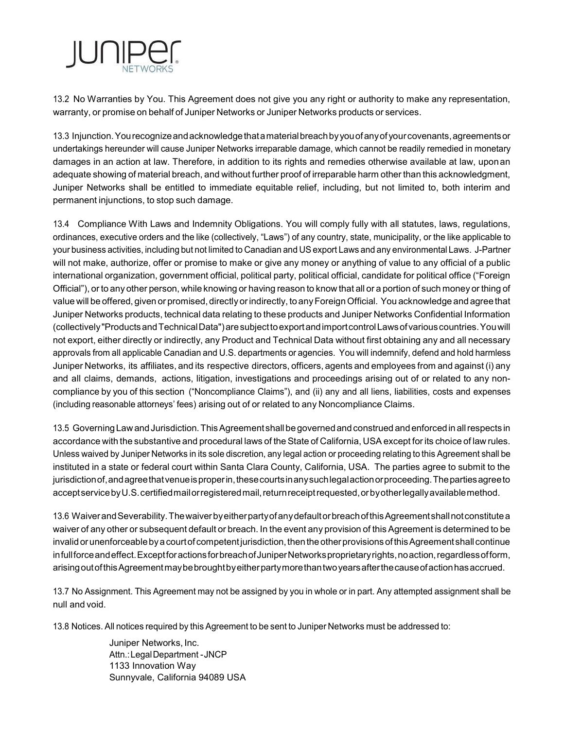

13.2 No Warranties by You. This Agreement does not give you any right or authority to make any representation, warranty, or promise on behalf of Juniper Networks or Juniper Networks products or services.

13.3 Injunction. You recognize and acknowledge that a material breach by you of any of your covenants, agreements or undertakings hereunder will cause Juniper Networks irreparable damage, which cannot be readily remedied in monetary damages in an action at law. Therefore, in addition to its rights and remedies otherwise available at law, upon an adequate showing of material breach, and without further proof of irreparable harm other than this acknowledgment, Juniper Networks shall be entitled to immediate equitable relief, including, but not limited to, both interim and permanent injunctions, to stop such damage.

13.4 Compliance With Laws and Indemnity Obligations. You will comply fully with all statutes, laws, regulations, ordinances, executive orders and the like (collectively, "Laws") of any country, state, municipality, or the like applicable to your business activities, including but not limited to Canadian and US export Laws and any environmental Laws. J-Partner will not make, authorize, offer or promise to make or give any money or anything of value to any official of a public international organization, government official, political party, political official, candidate for political office ("Foreign Official"), or to any other person, while knowing or having reason to know that all or a portion of such money or thing of value will be offered, given or promised, directly or indirectly, to any Foreign Official. You acknowledge and agree that Juniper Networks products, technical data relating to these products and Juniper Networks Confidential Information (collectively "Products and Technical Data") are subject to export and import control Laws of various countries. You will not export, either directly or indirectly, any Product and Technical Data without first obtaining any and all necessary approvals from all applicable Canadian and U.S. departments or agencies. You will indemnify, defend and hold harmless Juniper Networks, its affiliates, and its respective directors, officers, agents and employees from and against (i) any and all claims, demands, actions, litigation, investigations and proceedings arising out of or related to any noncompliance by you of this section ("Noncompliance Claims"), and (ii) any and all liens, liabilities, costs and expenses (including reasonable attorneys' fees) arising out of or related to any Noncompliance Claims.

13.5 Governing Law and Jurisdiction. This Agreement shall be governed and construed and enforced in all respects in accordance with the substantive and procedural laws of the State of California, USA except for its choice of law rules. Unless waived by Juniper Networks in its sole discretion, any legal action or proceeding relating to this Agreement shall be instituted in a state or federal court within Santa Clara County, California, USA. The parties agree to submit to the jurisdiction of, and agree that venue is proper in, these courts in any such legal action or proceeding. The parties agree to accept service by U.S. certified mail or registered mail, return receipt requested, or by other legally available method.

13.6 Waiver and Severability. The waiver by either party of any default or breach of this Agreement shall not constitute a waiver of any other or subsequent default or breach. In the event any provision of this Agreement is determined to be invalid or unenforceable by a court of competent jurisdiction, then the other provisions of this Agreement shall continue in full force and effect. Except for actions for breach of Juniper Networks proprietary rights, no action, regardless of form, arising out of this Agreement may be brought by either party more than two years after the cause of action has accrued.

13.7 No Assignment. This Agreement may not be assigned by you in whole or in part. Any attempted assignment shall be null and void.

13.8 Notices. All notices required by this Agreement to be sent to Juniper Networks must be addressed to:

Juniper Networks, Inc. Attn.: Legal Department - JNCP 1133 Innovation Way Sunnyvale, California 94089 USA